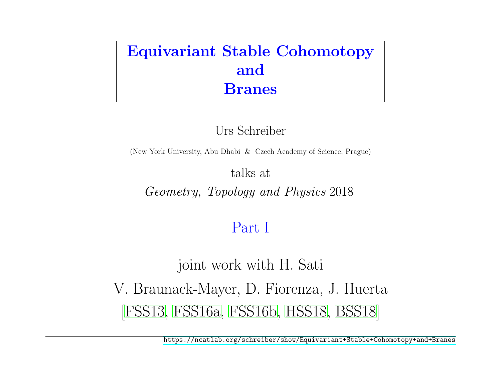## <span id="page-0-0"></span>Equivariant Stable Cohomotopy and Branes

Urs Schreiber

(New York University, Abu Dhabi & Czech Academy of Science, Prague)

talks at

Geometry, Topology and Physics 2018

# Part I

joint work with H. Sati V. Braunack-Mayer, D. Fiorenza, J. Huerta [\[FSS13,](#page-14-0) [FSS16a,](#page-14-1) [FSS16b,](#page-14-2) [HSS18,](#page-14-3) [BSS18\]](#page-14-4)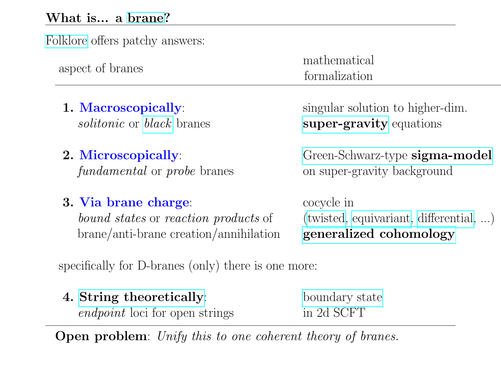## What is... a [brane?](https://ncatlab.org/nlab/show/brane)

| Folklore offers patchy answers:                     |                                          |
|-----------------------------------------------------|------------------------------------------|
| aspect of branes                                    | mathematical<br>formalization            |
| 1. Macroscopically:                                 | singular solution to higher-dim.         |
| <i>solitonic</i> or <i>black</i> branes             | super-gravity equations                  |
| 2. Microscopically:                                 | Green-Schwarz-type sigma-model           |
| <i>fundamental</i> or <i>probe</i> branes           | on super-gravity background              |
| 3. Via brane charge:                                | cocycle in                               |
| <i>bound states</i> or <i>reaction products</i> of  | $(twisted, equivariant, differential, )$ |
| brane/anti-brane creation/annihilation              | generalized cohomology                   |
| specifically for D-branes (only) there is one more: |                                          |

| 4. String theoretically:              | boundary state |
|---------------------------------------|----------------|
| <i>endpoint</i> loci for open strings | in 2d SCFT     |

Open problem: Unify this to one coherent theory of branes.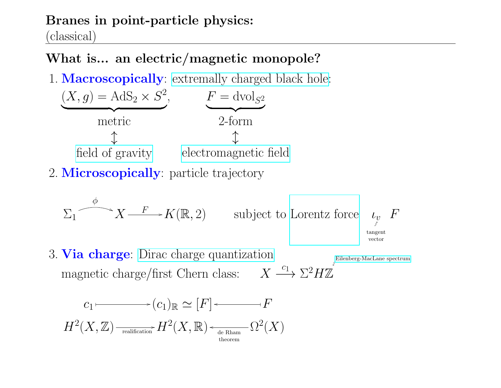## Branes in point-particle physics:

(classical)

## What is... an electric/magnetic monopole?

1. **Macroscopically**: [extremally charged black hole:](https://ncatlab.org/nlab/show/extremal+black+hole)



$$
\Sigma_1 \xrightarrow{\phi} X \xrightarrow{F} K(\mathbb{R}, 2) \qquad \text{subject to Lorentz force} \quad \iota_v \nbrace_{\text{tangent} \atop \text{vector}}^{p}
$$

3. Via charge: [Dirac charge quantization](https://ncatlab.org/nlab/show/Dirac+charge+quantization) magnetic charge/first Chern class:  $X \xrightarrow{c_1} \Sigma^2 H \mathbb{Z}$ [Eilenberg-MacLane spectrum](https://ncatlab.org/nlab/show/Eilenberg-Mac+Lane+spectrum)

$$
c_1 \longmapsto (c_1)_{\mathbb{R}} \simeq [F] \longleftarrow F
$$
  

$$
H^2(X, \mathbb{Z}) \xrightarrow[\text{realification}]{\text{relation}} H^2(X, \mathbb{R}) \longleftarrow[\text{de Rham}]{\text{de Rham}} \Omega^2(X)
$$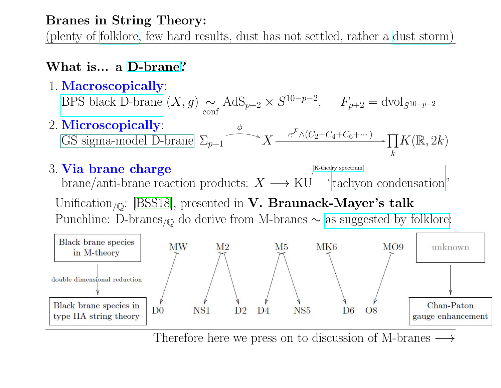## Branes in String Theory:

(plenty of [folklore,](https://ncatlab.org/nlab/show/folklore) few hard results, dust has not settled, rather a [dust storm\)](https://ncatlab.org/nlab/show/D-brane#KTheorySubtleties)

## What is... a [D-brane?](https://ncatlab.org/nlab/show/D-brane)



Therefore here we press on to discussion of M-branes  $\longrightarrow$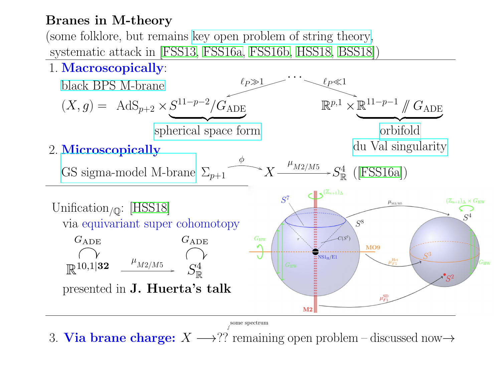## Branes in M-theory

(some folklore, but remains [key open problem of string theory,](https://ncatlab.org/nlab/show/Physical+Mathematics+and+the+Future#WeStillHaveNo) systematic attack in [\[FSS13,](#page-14-0) [FSS16a,](#page-14-1) [FSS16b,](#page-14-2) [HSS18,](#page-14-3) [BSS18\]](#page-14-4))



3. Via brane charge:  $X \longrightarrow$ ?? remaining open problem – discussed now  $\rightarrow$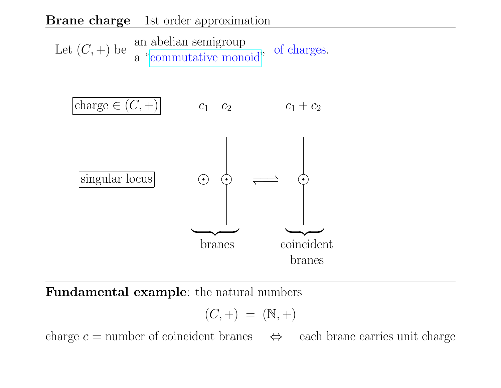#### **Brane charge** – 1st order approximation



Fundamental example: the natural numbers

$$
(C,+) = (\mathbb{N},+)
$$

charge  $c =$  number of coincident branes  $\iff$  each brane carries unit charge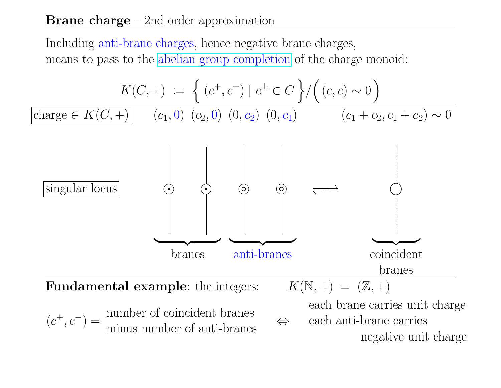### **Brane charge** – 2nd order approximation

Including anti-brane charges, hence negative brane charges, means to pass to the [abelian group completion](https://ncatlab.org/nlab/show/group+completion) of the charge monoid:

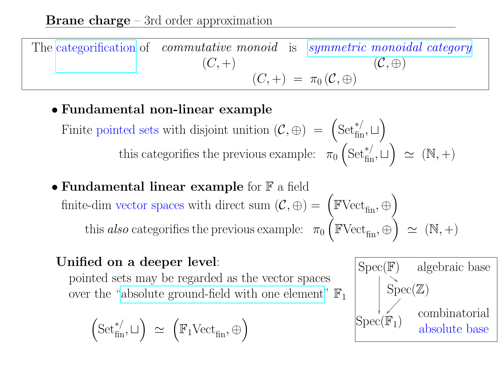The [categorification](https://ncatlab.org/nlab/show/vertical+categorification) of commutative monoid is [symmetric monoidal category](https://ncatlab.org/nlab/show/symmetric+monoidal+category)  $(C, +)$  $(\mathcal{C},\oplus)$  $(C, +) = \pi_0 (\mathcal{C}, \oplus)$ 

• Fundamental non-linear example

Finite pointed sets with disjoint unition  $(C, \oplus) = (\text{Set}^{*/}_{\text{fin}}, \square)$ this categorifies the previous example:  $\pi_0$  $\left( \text{Set}^{*/}_{\text{fin}}, \sqcup \right) \simeq (\mathbb{N}, +)$ 

• Fundamental linear example for  $\mathbb F$  a field finite-dim vector spaces with direct sum  $(\mathcal{C}, \oplus) = (\mathbb{F} \text{Vect}_{\text{fin}}, \oplus)$ this also categorifies the previous example:  $\pi_0$  $\left(\mathbb{FVect}_{\text{fin}},\oplus\right) \simeq (\mathbb{N},+)$ 

## Unified on a deeper level:

pointed sets may be regarded as the vector spaces over the ["absolute ground-field with one element"](https://ncatlab.org/nlab/show/field+with+one+element#Modules)  $\mathbb{F}$ 

$$
\left( \mathrm{Set}^{*/}_{\mathrm{fin}}, \sqcup \right) \ \simeq \ \left( \mathbb{F}_1 \mathrm{Vect}_{\mathrm{fin}}, \oplus \right)
$$

$$
\begin{array}{|l|l|}\hline \text{Spec}(\mathbb{F}) & \text{algebraic base}\\ \hline & \text{Spec}(\mathbb{Z})\\ & & \text{combinatorial}\\ \text{Spec}(\mathbb{F}_1) & \text{absolute base}\\ \hline \end{array}
$$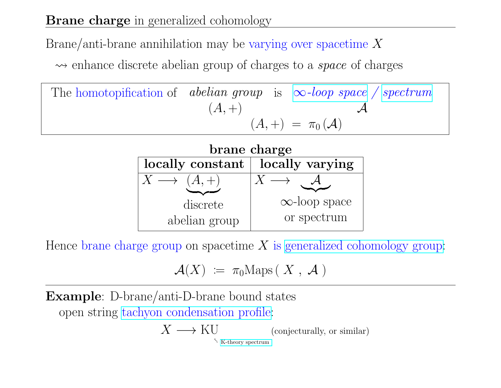## **Brane charge** in generalized cohomology

Brane/anti-brane annihilation may be varying over spacetime  $X$ 

 $\rightarrow$  enhance discrete abelian group of charges to a *space* of charges

The homotopification of *abelian group* is 
$$
\infty
$$
-loop space / spectrum  
\n $(A, +)$   
\n $(A, +) = \pi_0(A)$ 



Hence brane charge group on spacetime  $X$  is [generalized cohomology group:](https://ncatlab.org/nlab/show/generalized+(Eilenberg-Steenrod)+cohomology)

$$
\mathcal{A}(X) \; := \; \pi_0 \text{Maps} \left( \; X \; , \; \mathcal{A} \; \right)
$$

Example: D-brane/anti-D-brane bound states open string [tachyon condensation profile:](https://ncatlab.org/nlab/show/tachyon)

$$
X \longrightarrow \operatorname{KU}_{\text{K-theory spectrum}} \text{(conjecturally, or similar)}
$$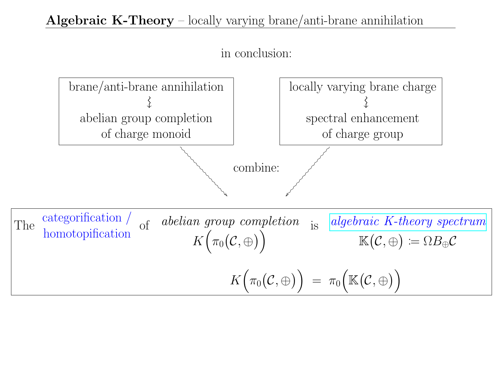## Algebraic K-Theory – locally varying brane/anti-brane annihilation



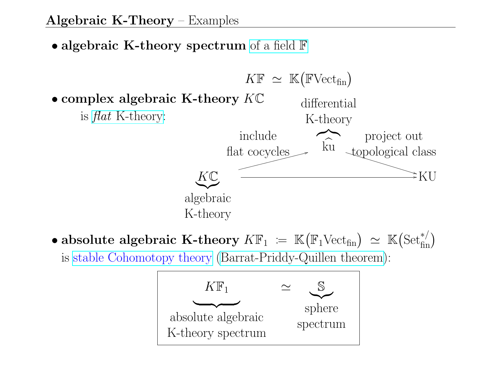• algebraic K-theory spectrum [of a field](https://ncatlab.org/nlab/show/K-theory+of+a+permutative+category#OrdinaryAlgebraicKTheoryFromPermutativeCategoryOfProjectiveModules)  $\mathbb F$ 



 $\bullet$  absolute algebraic K-theory  $K\mathbb{F}_1 \ := \ \mathbb{K}\big(\mathbb{F}_1\mathrm{Vect}_\mathrm{fin}\big) \ \simeq \ \mathbb{K}\big(\mathrm{Set}_\mathrm{fin}^{*/}\big)$ is [stable Cohomotopy theory](https://ncatlab.org/nlab/show/stable+cohomotopy) [\(Barrat-Priddy-Quillen theorem\)](https://ncatlab.org/nlab/show/stable+cohomotopy#AsAlgebraicKTheoryOverTheFieldWithOneElement):

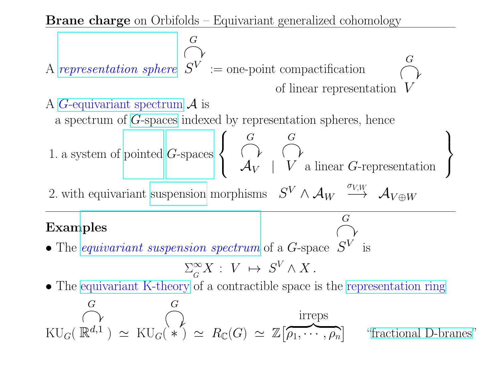**Brane charge** on Orbifolds – Equivariant generalized cohomology

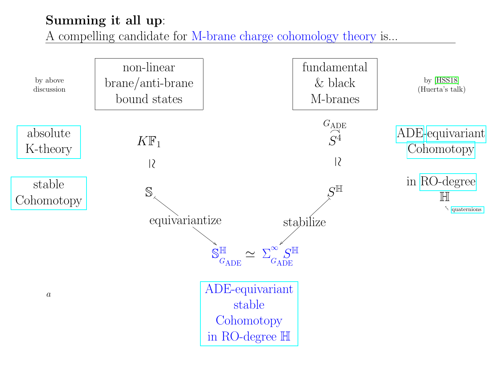## Summing it all up:

A compelling candidate for M-brane charge cohomology theory is...

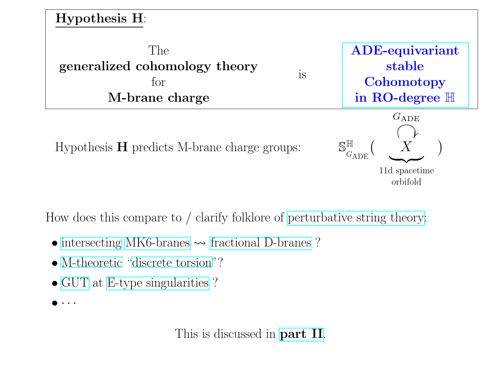

Hypothesis  $H$  predicts M-brane charge groups:



11d spacetime orbifold

How does this compare to / clarify folklore of [perturbative string theory:](https://ncatlab.org/nlab/show/string+theory)

- [intersecting](https://ncatlab.org/nlab/show/intersecting+D-brane+model) [MK6-branes](https://ncatlab.org/nlab/show/Kaluza-Klein+monopole)  $\rightsquigarrow$  [fractional D-branes](https://ncatlab.org/nlab/show/fractional+D-brane) ?
- [M-theoretic](https://ncatlab.org/nlab/show/M-theory) ["discrete torsion"](https://ncatlab.org/nlab/show/discrete+torsion)?
- [GUT](https://ncatlab.org/nlab/show/GUT) at [E-type singularities](https://ncatlab.org/nlab/show/ADE+singularity) ?
- $\bullet\;\cdot\;\cdot\;\cdot$

This is discussed in **[part II](https://ncatlab.org/schreiber/show/Equivariant+Stable+Cohomotopy+and+Branes)**.